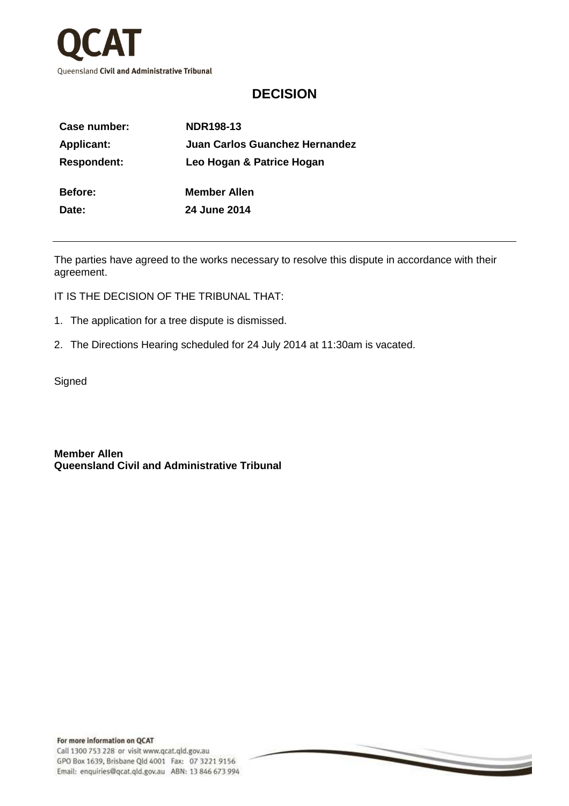

## **DECISION**

| Case number:       | <b>NDR198-13</b>               |
|--------------------|--------------------------------|
| <b>Applicant:</b>  | Juan Carlos Guanchez Hernandez |
| <b>Respondent:</b> | Leo Hogan & Patrice Hogan      |
| <b>Before:</b>     | Member Allen                   |
| Date:              | <b>24 June 2014</b>            |
|                    |                                |

The parties have agreed to the works necessary to resolve this dispute in accordance with their agreement.

 $\overline{\phantom{0}}$ 

IT IS THE DECISION OF THE TRIBUNAL THAT:

- 1. The application for a tree dispute is dismissed.
- 2. The Directions Hearing scheduled for 24 July 2014 at 11:30am is vacated.

**Signed** 

**Member Allen Queensland Civil and Administrative Tribunal**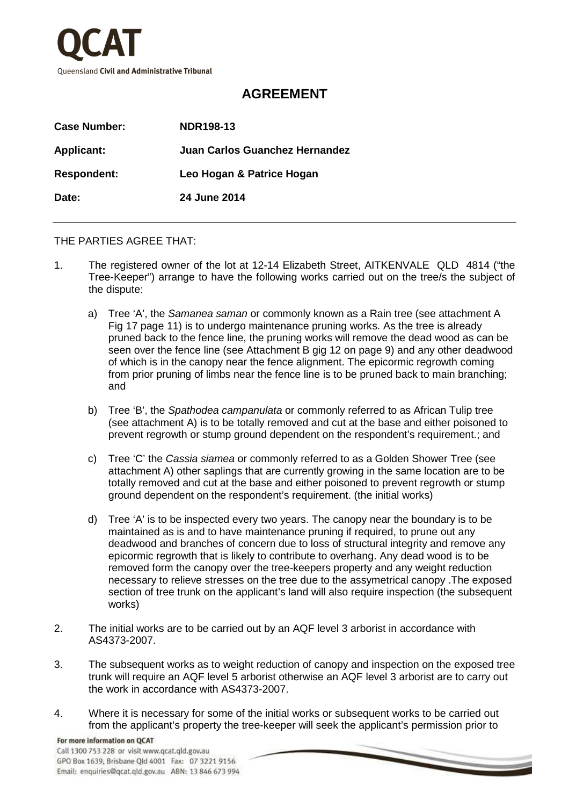

## **AGREEMENT**

| Case Number:       | <b>NDR198-13</b>               |
|--------------------|--------------------------------|
| <b>Applicant:</b>  | Juan Carlos Guanchez Hernandez |
| <b>Respondent:</b> | Leo Hogan & Patrice Hogan      |
| Date:              | <b>24 June 2014</b>            |

## THE PARTIES AGREE THAT:

- 1. The registered owner of the lot at 12-14 Elizabeth Street, AITKENVALE QLD 4814 ("the Tree-Keeper") arrange to have the following works carried out on the tree/s the subject of the dispute:
	- a) Tree 'A', the Samanea saman or commonly known as a Rain tree (see attachment A Fig 17 page 11) is to undergo maintenance pruning works. As the tree is already pruned back to the fence line, the pruning works will remove the dead wood as can be seen over the fence line (see Attachment B gig 12 on page 9) and any other deadwood of which is in the canopy near the fence alignment. The epicormic regrowth coming from prior pruning of limbs near the fence line is to be pruned back to main branching; and
	- b) Tree 'B', the Spathodea campanulata or commonly referred to as African Tulip tree (see attachment A) is to be totally removed and cut at the base and either poisoned to prevent regrowth or stump ground dependent on the respondent's requirement.; and
	- c) Tree 'C' the Cassia siamea or commonly referred to as a Golden Shower Tree (see attachment A) other saplings that are currently growing in the same location are to be totally removed and cut at the base and either poisoned to prevent regrowth or stump ground dependent on the respondent's requirement. (the initial works)
	- d) Tree 'A' is to be inspected every two years. The canopy near the boundary is to be maintained as is and to have maintenance pruning if required, to prune out any deadwood and branches of concern due to loss of structural integrity and remove any epicormic regrowth that is likely to contribute to overhang. Any dead wood is to be removed form the canopy over the tree-keepers property and any weight reduction necessary to relieve stresses on the tree due to the assymetrical canopy .The exposed section of tree trunk on the applicant's land will also require inspection (the subsequent works)
- 2. The initial works are to be carried out by an AQF level 3 arborist in accordance with AS4373-2007.
- 3. The subsequent works as to weight reduction of canopy and inspection on the exposed tree trunk will require an AQF level 5 arborist otherwise an AQF level 3 arborist are to carry out the work in accordance with AS4373-2007.
- 4. Where it is necessary for some of the initial works or subsequent works to be carried out from the applicant's property the tree-keeper will seek the applicant's permission prior to